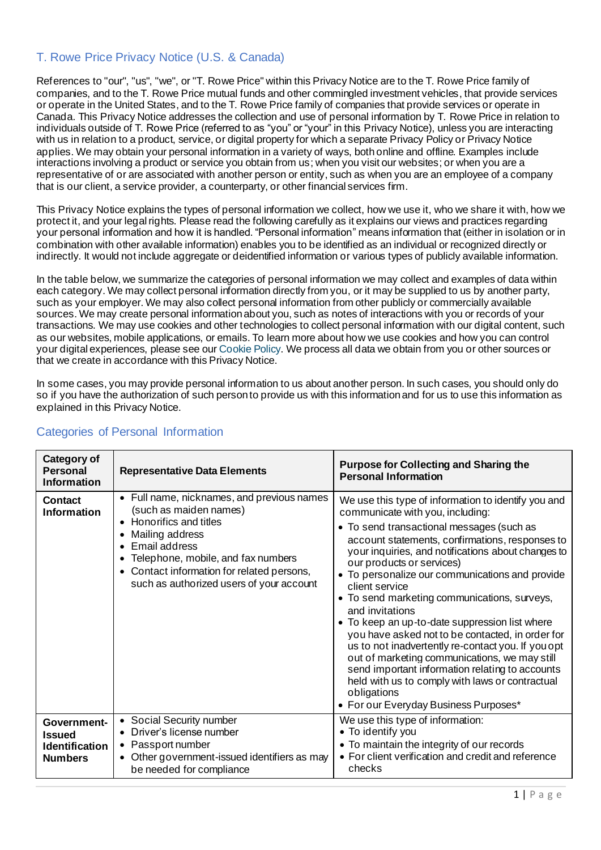## T. Rowe Price Privacy Notice (U.S. & Canada)

References to "our", "us", "we", or "T. Rowe Price" within this Privacy Notice are to the T. Rowe Price family of companies, and to the T. Rowe Price mutual funds and other commingled investment vehicles, that provide services or operate in the United States, and to the T. Rowe Price family of companies that provide services or operate in Canada. This Privacy Notice addresses the collection and use of personal information by T. Rowe Price in relation to individuals outside of T. Rowe Price (referred to as "you" or "your" in this Privacy Notice), unless you are interacting with us in relation to a product, service, or digital property for which a separate Privacy Policy or Privacy Notice applies. We may obtain your personal information in a variety of ways, both online and offline. Examples include interactions involving a product or service you obtain from us; when you visit our websites; or when you are a representative of or are associated with another person or entity, such as when you are an employee of a company that is our client, a service provider, a counterparty, or other financial services firm.

This Privacy Notice explains the types of personal information we collect, how we use it, who we share it with, how we protect it, and your legal rights. Please read the following carefully as it explains our views and practices regarding your personal information and how it is handled. "Personal information" means information that (either in isolation or in combination with other available information) enables you to be identified as an individual or recognized directly or indirectly. It would not include aggregate or deidentified information or various types of publicly available information.

In the table below, we summarize the categories of personal information we may collect and examples of data within each category. We may collect personal information directly from you, or it may be supplied to us by another party, such as your employer. We may also collect personal information from other publicly or commercially available sources. We may create personal information about you, such as notes of interactions with you or records of your transactions. We may use cookies and other technologies to collect personal information with our digital content, such as our websites, mobile applications, or emails. To learn more about how we use cookies and how you can control your digital experiences, please see ou[r Cookie Policy.](https://www.troweprice.com/content/dam/trowecorp/Pdfs/CookiePolicy_Nov2020.pdf) We process all data we obtain from you or other sources or that we create in accordance with this Privacy Notice.

In some cases, you may provide personal information to us about another person. In such cases, you should only do so if you have the authorization of such person to provide us with this information and for us to use this information as explained in this Privacy Notice.

| Category of<br><b>Personal</b><br><b>Information</b>                    | <b>Representative Data Elements</b>                                                                                                                                                                                                                                 | <b>Purpose for Collecting and Sharing the</b><br><b>Personal Information</b>                                                                                                                                                                                                                                                                                                                                                                                                                                                                                                                                                                                                                                                                                                                  |
|-------------------------------------------------------------------------|---------------------------------------------------------------------------------------------------------------------------------------------------------------------------------------------------------------------------------------------------------------------|-----------------------------------------------------------------------------------------------------------------------------------------------------------------------------------------------------------------------------------------------------------------------------------------------------------------------------------------------------------------------------------------------------------------------------------------------------------------------------------------------------------------------------------------------------------------------------------------------------------------------------------------------------------------------------------------------------------------------------------------------------------------------------------------------|
| <b>Contact</b><br><b>Information</b>                                    | • Full name, nicknames, and previous names<br>(such as maiden names)<br>• Honorifics and titles<br>Mailing address<br>Email address<br>Telephone, mobile, and fax numbers<br>• Contact information for related persons,<br>such as authorized users of your account | We use this type of information to identify you and<br>communicate with you, including:<br>• To send transactional messages (such as<br>account statements, confirmations, responses to<br>your inquiries, and notifications about changes to<br>our products or services)<br>• To personalize our communications and provide<br>client service<br>• To send marketing communications, surveys,<br>and invitations<br>• To keep an up-to-date suppression list where<br>you have asked not to be contacted, in order for<br>us to not inadvertently re-contact you. If you opt<br>out of marketing communications, we may still<br>send important information relating to accounts<br>held with us to comply with laws or contractual<br>obligations<br>• For our Everyday Business Purposes* |
| Government-<br><b>Issued</b><br><b>Identification</b><br><b>Numbers</b> | • Social Security number<br>• Driver's license number<br>• Passport number<br>Other government-issued identifiers as may<br>٠<br>be needed for compliance                                                                                                           | We use this type of information:<br>• To identify you<br>• To maintain the integrity of our records<br>• For client verification and credit and reference<br>checks                                                                                                                                                                                                                                                                                                                                                                                                                                                                                                                                                                                                                           |

# Categories of Personal Information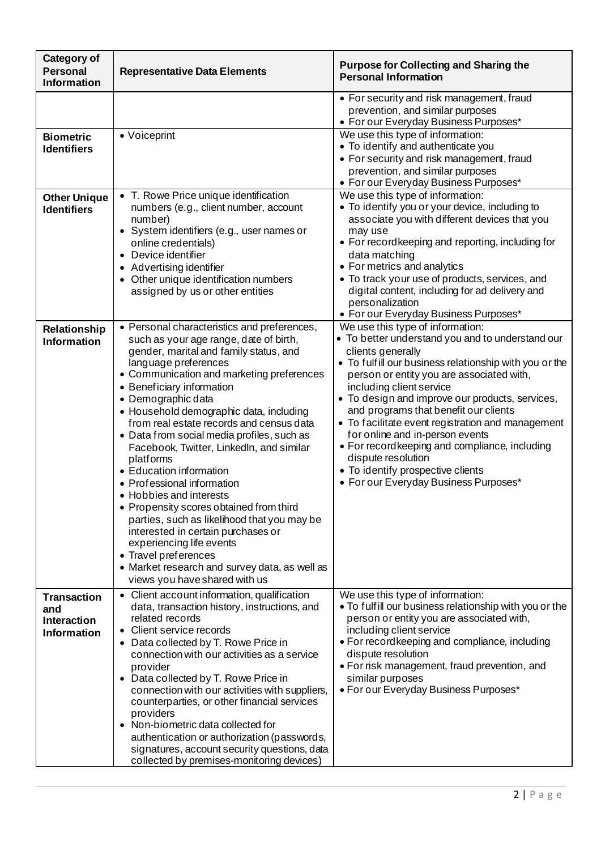| <b>Category of</b><br><b>Personal</b><br><b>Information</b>           | <b>Representative Data Elements</b>                                                                                                                                                                                                                                                                                                                                                                                                                                                                                                                                                                                                                                                                                                                                                                             | <b>Purpose for Collecting and Sharing the</b><br><b>Personal Information</b>                                                                                                                                                                                                                                                                                                                                                                                                                                                                                                          |
|-----------------------------------------------------------------------|-----------------------------------------------------------------------------------------------------------------------------------------------------------------------------------------------------------------------------------------------------------------------------------------------------------------------------------------------------------------------------------------------------------------------------------------------------------------------------------------------------------------------------------------------------------------------------------------------------------------------------------------------------------------------------------------------------------------------------------------------------------------------------------------------------------------|---------------------------------------------------------------------------------------------------------------------------------------------------------------------------------------------------------------------------------------------------------------------------------------------------------------------------------------------------------------------------------------------------------------------------------------------------------------------------------------------------------------------------------------------------------------------------------------|
|                                                                       |                                                                                                                                                                                                                                                                                                                                                                                                                                                                                                                                                                                                                                                                                                                                                                                                                 | • For security and risk management, fraud<br>prevention, and similar purposes<br>• For our Everyday Business Purposes*                                                                                                                                                                                                                                                                                                                                                                                                                                                                |
| <b>Biometric</b><br><b>Identifiers</b>                                | • Voiceprint                                                                                                                                                                                                                                                                                                                                                                                                                                                                                                                                                                                                                                                                                                                                                                                                    | We use this type of information:<br>• To identify and authenticate you<br>• For security and risk management, fraud<br>prevention, and similar purposes<br>• For our Everyday Business Purposes*                                                                                                                                                                                                                                                                                                                                                                                      |
| <b>Other Unique</b><br><b>Identifiers</b>                             | • T. Rowe Price unique identification<br>numbers (e.g., client number, account<br>number)<br>• System identifiers (e.g., user names or<br>online credentials)<br>• Device identifier<br>• Advertising identifier<br>• Other unique identification numbers<br>assigned by us or other entities                                                                                                                                                                                                                                                                                                                                                                                                                                                                                                                   | We use this type of information:<br>• To identify you or your device, including to<br>associate you with different devices that you<br>may use<br>• For record keeping and reporting, including for<br>data matching<br>• For metrics and analytics<br>• To track your use of products, services, and<br>digital content, including for ad delivery and<br>personalization<br>· For our Everyday Business Purposes*                                                                                                                                                                   |
| Relationship<br><b>Information</b>                                    | • Personal characteristics and preferences,<br>such as your age range, date of birth,<br>gender, marital and family status, and<br>language preferences<br>• Communication and marketing preferences<br>• Beneficiary information<br>• Demographic data<br>· Household demographic data, including<br>from real estate records and census data<br>• Data from social media profiles, such as<br>Facebook, Twitter, Linkedln, and similar<br>platforms<br>• Education information<br>• Professional information<br>• Hobbies and interests<br>• Propensity scores obtained from third<br>parties, such as likelihood that you may be<br>interested in certain purchases or<br>experiencing life events<br>• Travel preferences<br>• Market research and survey data, as well as<br>views you have shared with us | We use this type of information:<br>• To better understand you and to understand our<br>clients generally<br>• To fulfill our business relationship with you or the<br>person or entity you are associated with,<br>including client service<br>• To design and improve our products, services,<br>and programs that benefit our clients<br>• To facilitate event registration and management<br>for online and in-person events<br>• For recordkeeping and compliance, including<br>dispute resolution<br>• To identify prospective clients<br>• For our Everyday Business Purposes* |
| <b>Transaction</b><br>and<br><b>Interaction</b><br><b>Information</b> | • Client account information, qualification<br>data, transaction history, instructions, and<br>related records<br>• Client service records<br>• Data collected by T. Rowe Price in<br>connection with our activities as a service<br>provider<br>• Data collected by T. Rowe Price in<br>connection with our activities with suppliers,<br>counterparties, or other financial services<br>providers<br>• Non-biometric data collected for<br>authentication or authorization (passwords,<br>signatures, account security questions, data<br>collected by premises-monitoring devices)                                                                                                                                                                                                                           | We use this type of information:<br>. To fulfill our business relationship with you or the<br>person or entity you are associated with,<br>including client service<br>• For recordkeeping and compliance, including<br>dispute resolution<br>• For risk management, fraud prevention, and<br>similar purposes<br>• For our Everyday Business Purposes*                                                                                                                                                                                                                               |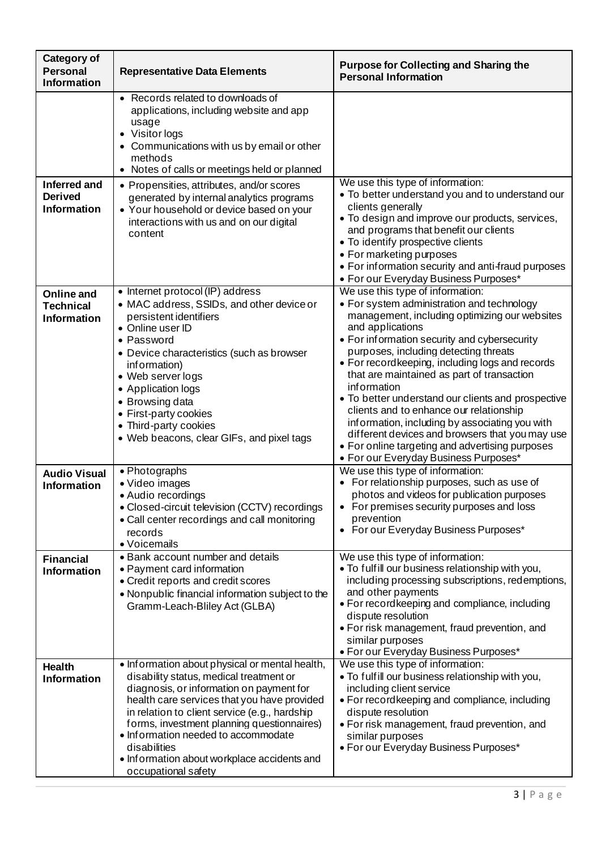| <b>Category of</b><br><b>Personal</b><br><b>Information</b> | <b>Representative Data Elements</b>                                                                                                                                                                                                                                                                                                                                                                              | <b>Purpose for Collecting and Sharing the</b><br><b>Personal Information</b>                                                                                                                                                                                                                                                                                                                                                                                                                                                                                                                                                                                    |
|-------------------------------------------------------------|------------------------------------------------------------------------------------------------------------------------------------------------------------------------------------------------------------------------------------------------------------------------------------------------------------------------------------------------------------------------------------------------------------------|-----------------------------------------------------------------------------------------------------------------------------------------------------------------------------------------------------------------------------------------------------------------------------------------------------------------------------------------------------------------------------------------------------------------------------------------------------------------------------------------------------------------------------------------------------------------------------------------------------------------------------------------------------------------|
|                                                             | Records related to downloads of<br>applications, including website and app<br>usage<br>• Visitor logs<br>• Communications with us by email or other<br>methods<br>• Notes of calls or meetings held or planned                                                                                                                                                                                                   |                                                                                                                                                                                                                                                                                                                                                                                                                                                                                                                                                                                                                                                                 |
| <b>Inferred and</b><br><b>Derived</b><br><b>Information</b> | • Propensities, attributes, and/or scores<br>generated by internal analytics programs<br>• Your household or device based on your<br>interactions with us and on our digital<br>content                                                                                                                                                                                                                          | We use this type of information:<br>. To better understand you and to understand our<br>clients generally<br>• To design and improve our products, services,<br>and programs that benefit our clients<br>• To identify prospective clients<br>• For marketing purposes<br>• For information security and anti-fraud purposes<br>• For our Everyday Business Purposes*                                                                                                                                                                                                                                                                                           |
| Online and<br><b>Technical</b><br><b>Information</b>        | • Internet protocol (IP) address<br>• MAC address, SSIDs, and other device or<br>persistent identifiers<br>• Online user ID<br>• Password<br>• Device characteristics (such as browser<br>information)<br>• Web server logs<br>• Application logs<br>• Browsing data<br>• First-party cookies<br>• Third-party cookies<br>• Web beacons, clear GIFs, and pixel tags                                              | We use this type of information:<br>• For system administration and technology<br>management, including optimizing our websites<br>and applications<br>• For information security and cybersecurity<br>purposes, including detecting threats<br>• For record keeping, including logs and records<br>that are maintained as part of transaction<br>information<br>• To better understand our clients and prospective<br>clients and to enhance our relationship<br>information, including by associating you with<br>different devices and browsers that you may use<br>• For online targeting and advertising purposes<br>• For our Everyday Business Purposes* |
| <b>Audio Visual</b><br><b>Information</b>                   | • Photographs<br>• Video images<br>• Audio recordings<br>• Closed-circuit television (CCTV) recordings<br>• Call center recordings and call monitoring<br>records<br>· Voicemails                                                                                                                                                                                                                                | We use this type of information:<br>For relationship purposes, such as use of<br>photos and videos for publication purposes<br>• For premises security purposes and loss<br>prevention<br>• For our Everyday Business Purposes*                                                                                                                                                                                                                                                                                                                                                                                                                                 |
| <b>Financial</b><br><b>Information</b>                      | • Bank account number and details<br>• Payment card information<br>• Credit reports and credit scores<br>• Nonpublic financial information subject to the<br>Gramm-Leach-Bliley Act (GLBA)                                                                                                                                                                                                                       | We use this type of information:<br>. To fulfill our business relationship with you,<br>including processing subscriptions, redemptions,<br>and other payments<br>• For recordkeeping and compliance, including<br>dispute resolution<br>• For risk management, fraud prevention, and<br>similar purposes<br>• For our Everyday Business Purposes*                                                                                                                                                                                                                                                                                                              |
| <b>Health</b><br><b>Information</b>                         | • Information about physical or mental health,<br>disability status, medical treatment or<br>diagnosis, or information on payment for<br>health care services that you have provided<br>in relation to client service (e.g., hardship<br>forms, investment planning questionnaires)<br>. Information needed to accommodate<br>disabilities<br>• Information about workplace accidents and<br>occupational safety | We use this type of information:<br>. To fulfill our business relationship with you,<br>including client service<br>• For recordkeeping and compliance, including<br>dispute resolution<br>• For risk management, fraud prevention, and<br>similar purposes<br>• For our Everyday Business Purposes*                                                                                                                                                                                                                                                                                                                                                            |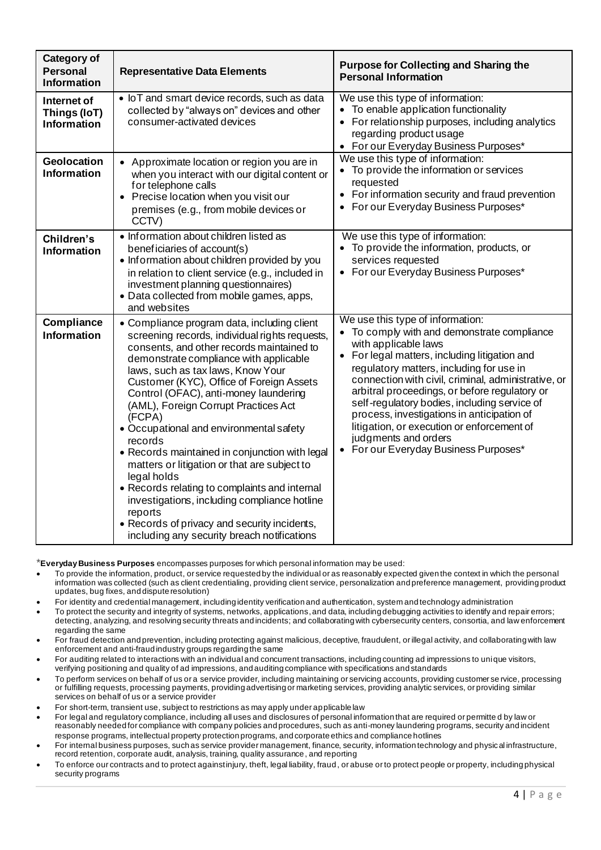| <b>Category of</b><br><b>Personal</b><br><b>Information</b> | <b>Representative Data Elements</b>                                                                                                                                                                                                                                                                                                                                                                                                                                                                                                                                                                                                                                                                                                                | <b>Purpose for Collecting and Sharing the</b><br><b>Personal Information</b>                                                                                                                                                                                                                                                                                                                                                                                                                                              |
|-------------------------------------------------------------|----------------------------------------------------------------------------------------------------------------------------------------------------------------------------------------------------------------------------------------------------------------------------------------------------------------------------------------------------------------------------------------------------------------------------------------------------------------------------------------------------------------------------------------------------------------------------------------------------------------------------------------------------------------------------------------------------------------------------------------------------|---------------------------------------------------------------------------------------------------------------------------------------------------------------------------------------------------------------------------------------------------------------------------------------------------------------------------------------------------------------------------------------------------------------------------------------------------------------------------------------------------------------------------|
| Internet of<br>Things (IoT)<br><b>Information</b>           | • IoT and smart device records, such as data<br>collected by "always on" devices and other<br>consumer-activated devices                                                                                                                                                                                                                                                                                                                                                                                                                                                                                                                                                                                                                           | We use this type of information:<br>• To enable application functionality<br>• For relationship purposes, including analytics<br>regarding product usage<br>• For our Everyday Business Purposes*                                                                                                                                                                                                                                                                                                                         |
| <b>Geolocation</b><br><b>Information</b>                    | • Approximate location or region you are in<br>when you interact with our digital content or<br>for telephone calls<br>• Precise location when you visit our<br>premises (e.g., from mobile devices or<br>CCTV)                                                                                                                                                                                                                                                                                                                                                                                                                                                                                                                                    | We use this type of information:<br>• To provide the information or services<br>requested<br>• For information security and fraud prevention<br>• For our Everyday Business Purposes*                                                                                                                                                                                                                                                                                                                                     |
| Children's<br><b>Information</b>                            | • Information about children listed as<br>beneficiaries of account(s)<br>• Information about children provided by you<br>in relation to client service (e.g., included in<br>investment planning questionnaires)<br>• Data collected from mobile games, apps,<br>and websites                                                                                                                                                                                                                                                                                                                                                                                                                                                                      | We use this type of information:<br>• To provide the information, products, or<br>services requested<br>• For our Everyday Business Purposes*                                                                                                                                                                                                                                                                                                                                                                             |
| Compliance<br><b>Information</b>                            | • Compliance program data, including client<br>screening records, individual rights requests,<br>consents, and other records maintained to<br>demonstrate compliance with applicable<br>laws, such as tax laws, Know Your<br>Customer (KYC), Office of Foreign Assets<br>Control (OFAC), anti-money laundering<br>(AML), Foreign Corrupt Practices Act<br>(FCPA)<br>• Occupational and environmental safety<br>records<br>• Records maintained in conjunction with legal<br>matters or litigation or that are subject to<br>legal holds<br>• Records relating to complaints and internal<br>investigations, including compliance hotline<br>reports<br>• Records of privacy and security incidents,<br>including any security breach notifications | We use this type of information:<br>• To comply with and demonstrate compliance<br>with applicable laws<br>• For legal matters, including litigation and<br>regulatory matters, including for use in<br>connection with civil, criminal, administrative, or<br>arbitral proceedings, or before regulatory or<br>self-regulatory bodies, including service of<br>process, investigations in anticipation of<br>litigation, or execution or enforcement of<br>judgments and orders<br>• For our Everyday Business Purposes* |

\***Everyday Business Purposes** encompasses purposes for which personal information may be used:

- To provide the information, product, or service requested by the individual or as reasonably expected given the context in which the personal information was collected (such as client credentialing, providing client service, personalization and preference management, providing product updates, bug fixes, and dispute resolution)
- For identity and credential management, including identity verification and authentication, system and technology administration
- To protect the security and integrity of systems, networks, applications,and data, including debugging activities to identify and repair errors; detecting, analyzing, and resolving security threats and incidents; and collaborating with cybersecurity centers, consortia, and law enforcement regarding the same
- For fraud detection and prevention, including protecting against malicious, deceptive, fraudulent, or illegal activity, and collaborating with law enforcement and anti-fraud industry groups regarding the same
- For auditing related to interactions with an individual and concurrent transactions, including counting ad impressions to unique visitors, verifying positioning and quality of ad impressions, and auditing compliance with specifications and standards
- To perform services on behalf of us or a service provider, including maintaining or servicing accounts, providing customer se rvice, processing or fulfilling requests, processing payments, providing advertising or marketing services, providing analytic services, or providing similar services on behalf of us or a service provider
- For short-term, transient use, subject to restrictions as may apply under applicable law
- For legal and regulatory compliance, including all uses and disclosures of personal information that are required or permitte d by law or reasonably needed for compliance with company policies and procedures, such as anti-money laundering programs, security and incident response programs, intellectual property protection programs, and corporate ethics and compliance hotlines
- For internal business purposes, such as service provider management, finance, security, information technology and physical infrastructure, record retention, corporate audit, analysis, training, quality assurance, and reporting
- To enforce our contracts and to protect againstinjury, theft, legal liability, fraud, or abuse or to protect people or property, including physical security programs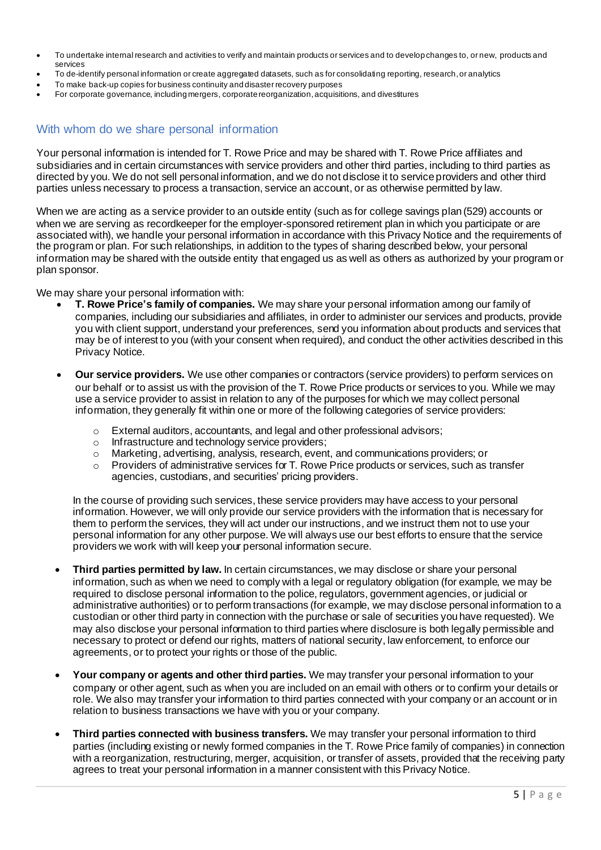- To undertake internal research and activities to verify and maintain products or services and to develop changes to, or new, products and services
- To de-identify personal information or create aggregated datasets, such as for consolidating reporting, research,or analytics
- To make back-up copies for business continuity and disaster recovery purposes
- For corporate governance, including mergers, corporate reorganization, acquisitions, and divestitures

#### With whom do we share personal information

Your personal information is intended for T. Rowe Price and may be shared with T. Rowe Price affiliates and subsidiaries and in certain circumstances with service providers and other third parties, including to third parties as directed by you. We do not sell personal information, and we do not disclose it to service providers and other third parties unless necessary to process a transaction, service an account, or as otherwise permitted by law.

When we are acting as a service provider to an outside entity (such as for college savings plan (529) accounts or when we are serving as recordkeeper for the employer-sponsored retirement plan in which you participate or are associated with), we handle your personal information in accordance with this Privacy Notice and the requirements of the program or plan. For such relationships, in addition to the types of sharing described below, your personal information may be shared with the outside entity that engaged us as well as others as authorized by your program or plan sponsor.

We may share your personal information with:

- **T. Rowe Price's family of companies.** We may share your personal information among our family of companies, including our subsidiaries and affiliates, in order to administer our services and products, provide you with client support, understand your preferences, send you information about products and services that may be of interest to you (with your consent when required), and conduct the other activities described in this Privacy Notice.
- **Our service providers.** We use other companies or contractors (service providers) to perform services on our behalf or to assist us with the provision of the T. Rowe Price products or services to you. While we may use a service provider to assist in relation to any of the purposes for which we may collect personal information, they generally fit within one or more of the following categories of service providers:
	- o External auditors, accountants, and legal and other professional advisors;
	- o Infrastructure and technology service providers;
	- o Marketing, advertising, analysis, research, event, and communications providers; or
	- o Providers of administrative services for T. Rowe Price products or services, such as transfer agencies, custodians, and securities' pricing providers.

In the course of providing such services, these service providers may have access to your personal information. However, we will only provide our service providers with the information that is necessary for them to perform the services, they will act under our instructions, and we instruct them not to use your personal information for any other purpose. We will always use our best efforts to ensure that the service providers we work with will keep your personal information secure.

- **Third parties permitted by law.** In certain circumstances, we may disclose or share your personal information, such as when we need to comply with a legal or regulatory obligation (for example, we may be required to disclose personal information to the police, regulators, government agencies, or judicial or administrative authorities) or to perform transactions (for example, we may disclose personal information to a custodian or other third party in connection with the purchase or sale of securities you have requested). We may also disclose your personal information to third parties where disclosure is both legally permissible and necessary to protect or defend our rights, matters of national security, law enforcement, to enforce our agreements, or to protect your rights or those of the public.
- **Your company or agents and other third parties.** We may transfer your personal information to your company or other agent, such as when you are included on an email with others or to confirm your details or role. We also may transfer your information to third parties connected with your company or an account or in relation to business transactions we have with you or your company.
- **Third parties connected with business transfers.** We may transfer your personal information to third parties (including existing or newly formed companies in the T. Rowe Price family of companies) in connection with a reorganization, restructuring, merger, acquisition, or transfer of assets, provided that the receiving party agrees to treat your personal information in a manner consistent with this Privacy Notice.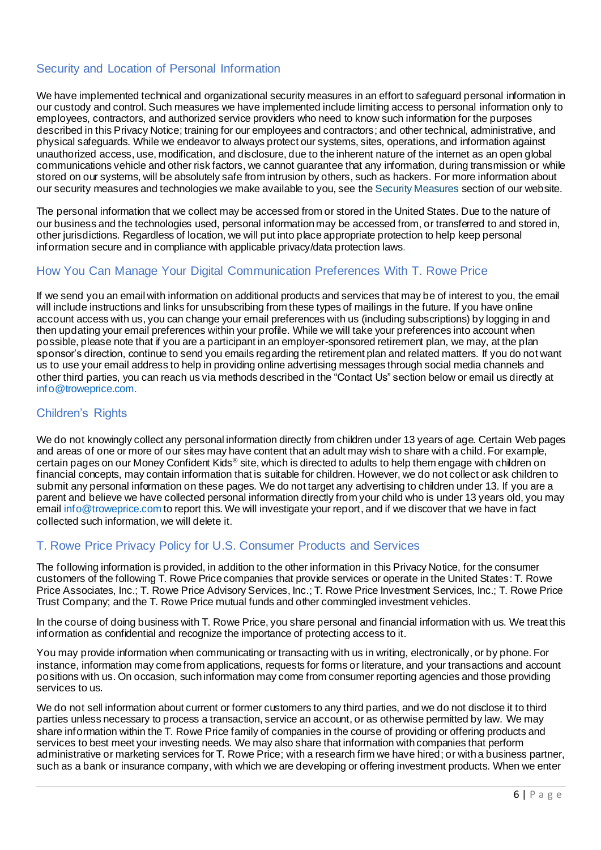### Security and Location of Personal Information

We have implemented technical and organizational security measures in an effort to safeguard personal information in our custody and control. Such measures we have implemented include limiting access to personal information only to employees, contractors, and authorized service providers who need to know such information for the purposes described in this Privacy Notice; training for our employees and contractors; and other technical, administrative, and physical safeguards. While we endeavor to always protect our systems, sites, operations, and information against unauthorized access, use, modification, and disclosure, due to the inherent nature of the internet as an open global communications vehicle and other risk factors, we cannot guarantee that any information, during transmission or while stored on our systems, will be absolutely safe from intrusion by others, such as hackers. For more information about our security measures and technologies we make available to you, see the [Security Measures](https://www.troweprice.com/personal-investing/help/policies-and-security/security.html) section of our website.

The personal information that we collect may be accessed from or stored in the United States. Due to the nature of our business and the technologies used, personal information may be accessed from, or transferred to and stored in, other jurisdictions. Regardless of location, we will put into place appropriate protection to help keep personal information secure and in compliance with applicable privacy/data protection laws.

#### How You Can Manage Your Digital Communication Preferences With T. Rowe Price

If we send you an email with information on additional products and services that may be of interest to you, the email will include instructions and links for unsubscribing from these types of mailings in the future. If you have online account access with us, you can change your email preferences with us (including subscriptions) by logging in and then updating your email preferences within your profile. While we will take your preferences into account when possible, please note that if you are a participant in an employer-sponsored retirement plan, we may, at the plan sponsor's direction, continue to send you emails regarding the retirement plan and related matters. If you do not want us to use your email address to help in providing online advertising messages through social media channels and other third parties, you can reach us via methods described in the "Contact Us" section below or email us directly at [info@troweprice.com](mailto:info@troweprice.com).

#### Children's Rights

We do not knowingly collect any personal information directly from children under 13 years of age. Certain Web pages and areas of one or more of our sites may have content that an adult may wish to share with a child. For example, certain pages on our Money Confident Kids® site, which is directed to adults to help them engage with children on financial concepts, may contain information that is suitable for children. However, we do not collect or ask children to submit any personal information on these pages. We do not target any advertising to children under 13. If you are a parent and believe we have collected personal information directly from your child who is under 13 years old, you may email [info@troweprice.com](mailto:info@troweprice.com) to report this. We will investigate your report, and if we discover that we have in fact collected such information, we will delete it.

#### T. Rowe Price Privacy Policy for U.S. Consumer Products and Services

The following information is provided, in addition to the other information in this Privacy Notice, for the consumer customers of the following T. Rowe Price companies that provide services or operate in the United States: T. Rowe Price Associates, Inc.; T. Rowe Price Advisory Services, Inc.; T. Rowe Price Investment Services, Inc.; T. Rowe Price Trust Company; and the T. Rowe Price mutual funds and other commingled investment vehicles.

In the course of doing business with T. Rowe Price, you share personal and financial information with us. We treat this information as confidential and recognize the importance of protecting access to it.

You may provide information when communicating or transacting with us in writing, electronically, or by phone. For instance, information may come from applications, requests for forms or literature, and your transactions and account positions with us. On occasion, such information may come from consumer reporting agencies and those providing services to us.

We do not sell information about current or former customers to any third parties, and we do not disclose it to third parties unless necessary to process a transaction, service an account, or as otherwise permitted by law. We may share information within the T. Rowe Price family of companies in the course of providing or offering products and services to best meet your investing needs. We may also share that information with companies that perform administrative or marketing services for T. Rowe Price; with a research firm we have hired; or with a business partner, such as a bank or insurance company, with which we are developing or offering investment products. When we enter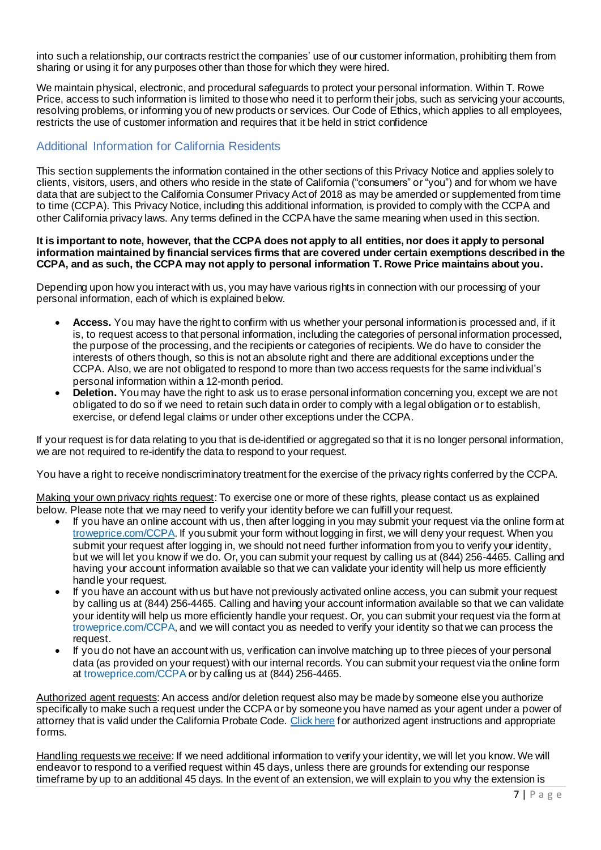into such a relationship, our contracts restrict the companies' use of our customer information, prohibiting them from sharing or using it for any purposes other than those for which they were hired.

We maintain physical, electronic, and procedural safeguards to protect your personal information. Within T. Rowe Price, access to such information is limited to those who need it to perform their jobs, such as servicing your accounts, resolving problems, or informing you of new products or services. Our Code of Ethics, which applies to all employees, restricts the use of customer information and requires that it be held in strict confidence

### Additional Information for California Residents

This section supplements the information contained in the other sections of this Privacy Notice and applies solely to clients, visitors, users, and others who reside in the state of California ("consumers" or "you") and for whom we have data that are subject to the California Consumer Privacy Act of 2018 as may be amended or supplemented from time to time (CCPA). This Privacy Notice, including this additional information, is provided to comply with the CCPA and other California privacy laws. Any terms defined in the CCPA have the same meaning when used in this section.

#### **It is important to note, however, that the CCPA does not apply to all entities, nor does it apply to personal information maintained by financial services firms that are covered under certain exemptions described in the CCPA, and as such, the CCPA may not apply to personal information T. Rowe Price maintains about you.**

Depending upon how you interact with us, you may have various rights in connection with our processing of your personal information, each of which is explained below.

- **Access.** You may have the right to confirm with us whether your personal information is processed and, if it is, to request access to that personal information, including the categories of personal information processed, the purpose of the processing, and the recipients or categories of recipients. We do have to consider the interests of others though, so this is not an absolute right and there are additional exceptions under the CCPA. Also, we are not obligated to respond to more than two access requests for the same individual's personal information within a 12-month period.
- **Deletion.** You may have the right to ask us to erase personal information concerning you, except we are not obligated to do so if we need to retain such data in order to comply with a legal obligation or to establish, exercise, or defend legal claims or under other exceptions under the CCPA.

If your request is for data relating to you that is de-identified or aggregated so that it is no longer personal information, we are not required to re-identify the data to respond to your request.

You have a right to receive nondiscriminatory treatment for the exercise of the privacy rights conferred by the CCPA.

Making your own privacy rights request: To exercise one or more of these rights, please contact us as explained below. Please note that we may need to verify your identity before we can fulfill your request.

- If you have an online account with us, then after logging in you may submit your request via the online form at [troweprice.com/CCPA](https://www.troweprice.com/ccpa/index.html?van=CCPA). If you submit your form without logging in first, we will deny your request. When you submit your request after logging in, we should not need further information from you to verify your identity, but we will let you know if we do. Or, you can submit your request by calling us at (844) 256-4465. Calling and having your account information available so that we can validate your identity will help us more efficiently handle your request.
- If you have an account with us but have not previously activated online access, you can submit your request by calling us at (844) 256-4465. Calling and having your account information available so that we can validate your identity will help us more efficiently handle your request. Or, you can submit your request via the form at [troweprice.com/CCPA](http://www.troweprice.com/CCPA), and we will contact you as needed to verify your identity so that we can process the request.
- If you do not have an account with us, verification can involve matching up to three pieces of your personal data (as provided on your request) with our internal records. You can submit your request via the online form at [troweprice.com/CCPA](http://www.troweprice.com/CCPA) or by calling us at (844) 256-4465.

Authorized agent requests: An access and/or deletion request also may be made by someone else you authorize specifically to make such a request under the CCPA or by someone you have named as your agent under a power of attorney that is valid under the California Probate Code. [Click here](https://www.troweprice.com/content/dam/trowecorp/Pdfs/CCPAPOA112020.pdf) for authorized agent instructions and appropriate forms.

Handling requests we receive: If we need additional information to verify your identity, we will let you know. We will endeavor to respond to a verified request within 45 days, unless there are grounds for extending our response timeframe by up to an additional 45 days. In the event of an extension, we will explain to you why the extension is